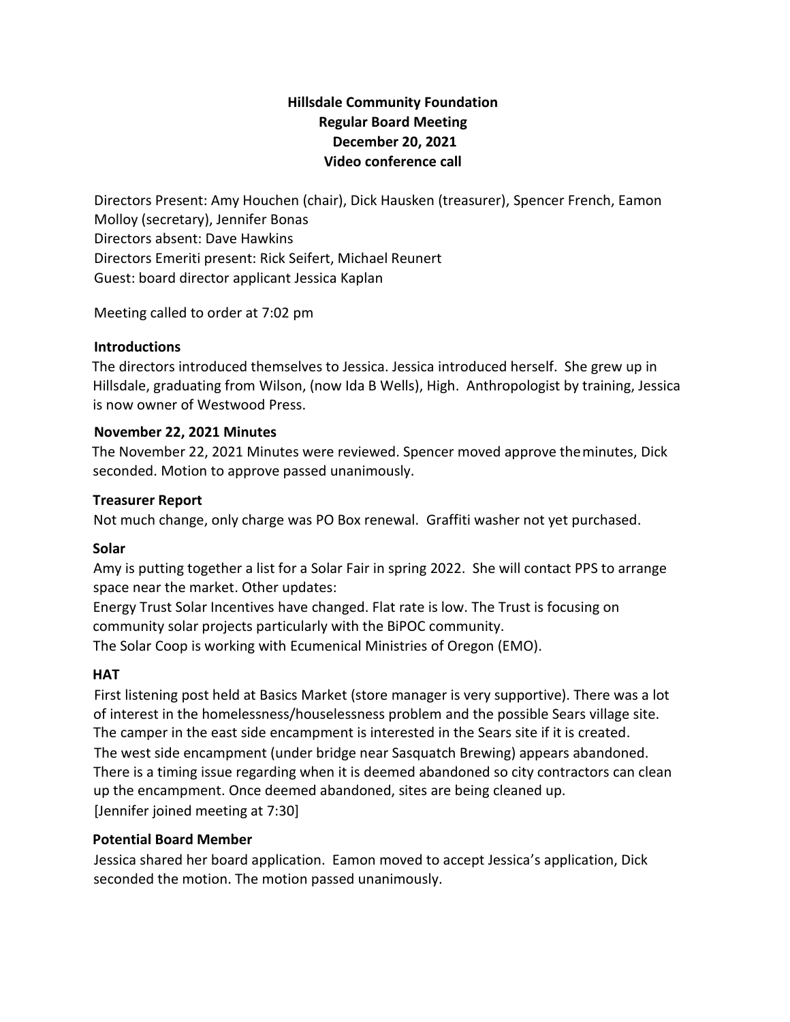# **Hillsdale Community Foundation Regular Board Meeting December 20, 2021 Video conference call**

Directors Present: Amy Houchen (chair), Dick Hausken (treasurer), Spencer French, Eamon Molloy (secretary), Jennifer Bonas Directors absent: Dave Hawkins Directors Emeriti present: Rick Seifert, Michael Reunert Guest: board director applicant Jessica Kaplan

Meeting called to order at 7:02 pm

## **Introductions**

The directors introduced themselves to Jessica. Jessica introduced herself. She grew up in Hillsdale, graduating from Wilson, (now Ida B Wells), High. Anthropologist by training, Jessica is now owner of Westwood Press.

## **November 22, 2021 Minutes**

The November 22, 2021 Minutes were reviewed. Spencer moved approve theminutes, Dick seconded. Motion to approve passed unanimously.

## **Treasurer Report**

Not much change, only charge was PO Box renewal. Graffiti washer not yet purchased.

#### **Solar**

Amy is putting together a list for a Solar Fair in spring 2022. She will contact PPS to arrange space near the market. Other updates:

Energy Trust Solar Incentives have changed. Flat rate is low. The Trust is focusing on community solar projects particularly with the BiPOC community. The Solar Coop is working with Ecumenical Ministries of Oregon (EMO).

# **HAT**

First listening post held at Basics Market (store manager is very supportive). There was a lot of interest in the homelessness/houselessness problem and the possible Sears village site. The camper in the east side encampment is interested in the Sears site if it is created. The west side encampment (under bridge near Sasquatch Brewing) appears abandoned. There is a timing issue regarding when it is deemed abandoned so city contractors can clean up the encampment. Once deemed abandoned, sites are being cleaned up. [Jennifer joined meeting at 7:30]

# **Potential Board Member**

Jessica shared her board application. Eamon moved to accept Jessica's application, Dick seconded the motion. The motion passed unanimously.